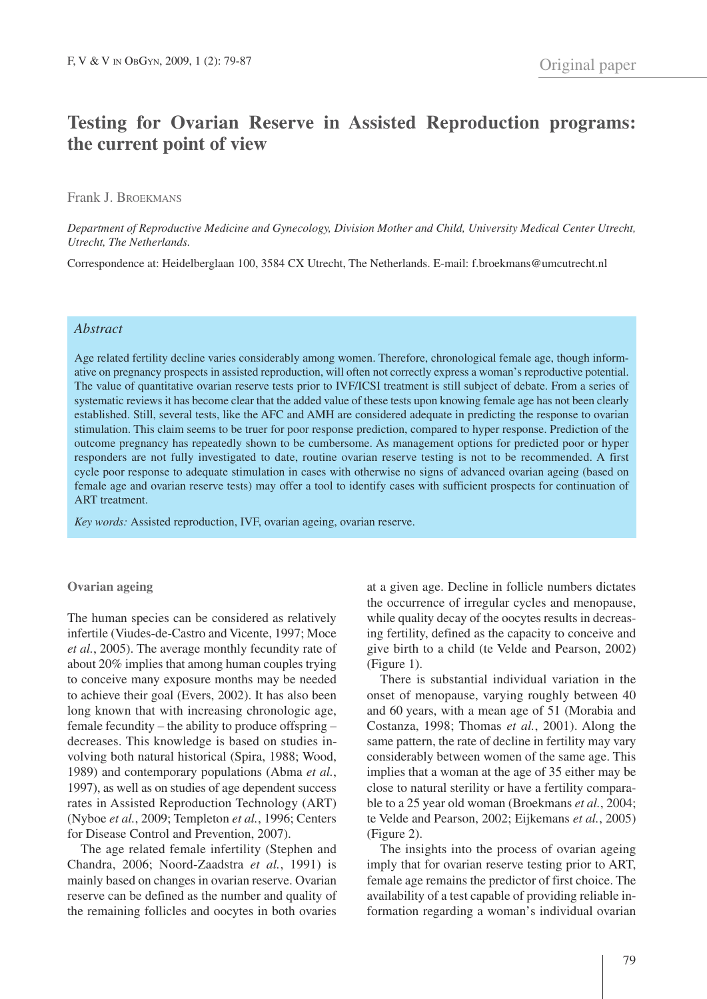# **Testing for Ovarian Reserve in Assisted Reproduction programs: the current point of view**

# Frank J. BROEKMANS

*Department of Reproductive Medicine and Gynecology, Division Mother and Child, University Medical Center Utrecht, Utrecht, The Netherlands.*

Correspondence at: Heidelberglaan 100, 3584 CX Utrecht, The Netherlands. E-mail: f.broekmans@umcutrecht.nl

## *Abstract*

Age related fertility decline varies considerably among women. Therefore, chronological female age, though informative on pregnancy prospects in assisted reproduction, will often not correctly express a woman's reproductive potential. The value of quantitative ovarian reserve tests prior to IVF/ICSI treatment is still subject of debate. From a series of systematic reviews it has become clear that the added value of these tests upon knowing female age has not been clearly established. Still, several tests, like the AFC and AMH are considered adequate in predicting the response to ovarian stimulation. This claim seems to be truer for poor response prediction, compared to hyper response. Prediction of the outcome pregnancy has repeatedly shown to be cumbersome. As management options for predicted poor or hyper responders are not fully investigated to date, routine ovarian reserve testing is not to be recommended. A first cycle poor response to adequate stimulation in cases with otherwise no signs of advanced ovarian ageing (based on female age and ovarian reserve tests) may offer a tool to identify cases with sufficient prospects for continuation of ART treatment.

*Key words:* Assisted reproduction, IVF, ovarian ageing, ovarian reserve.

#### **Ovarian ageing**

The human species can be considered as relatively infertile (Viudes-de-Castro and Vicente, 1997; Moce *et al.*, 2005). The average monthly fecundity rate of about 20% implies that among human couples trying to conceive many exposure months may be needed to achieve their goal (Evers, 2002). It has also been long known that with increasing chronologic age, female fecundity – the ability to produce offspring – decreases. This knowledge is based on studies involving both natural historical (Spira, 1988; Wood, 1989) and contemporary populations (Abma *et al.*, 1997), as well as on studies of age dependent success rates in Assisted Reproduction Technology (ART) (Nyboe *et al.*, 2009; Templeton *et al.*, 1996; Centers for Disease Control and Prevention, 2007).

The age related female infertility (Stephen and Chandra, 2006; Noord-Zaadstra *et al.*, 1991) is mainly based on changes in ovarian reserve. Ovarian reserve can be defined as the number and quality of the remaining follicles and oocytes in both ovaries

at a given age. Decline in follicle numbers dictates the occurrence of irregular cycles and menopause, while quality decay of the oocytes results in decreasing fertility, defined as the capacity to conceive and give birth to a child (te Velde and Pearson, 2002) (Figure 1).

There is substantial individual variation in the onset of menopause, varying roughly between 40 and 60 years, with a mean age of 51 (Morabia and Costanza, 1998; Thomas *et al.*, 2001). Along the same pattern, the rate of decline in fertility may vary considerably between women of the same age. This implies that a woman at the age of 35 either may be close to natural sterility or have a fertility comparable to a 25 year old woman (Broekmans *et al.*, 2004; te Velde and Pearson, 2002; Eijkemans *et al.*, 2005) (Figure 2).

The insights into the process of ovarian ageing imply that for ovarian reserve testing prior to ART, female age remains the predictor of first choice. The availability of a test capable of providing reliable information regarding a woman's individual ovarian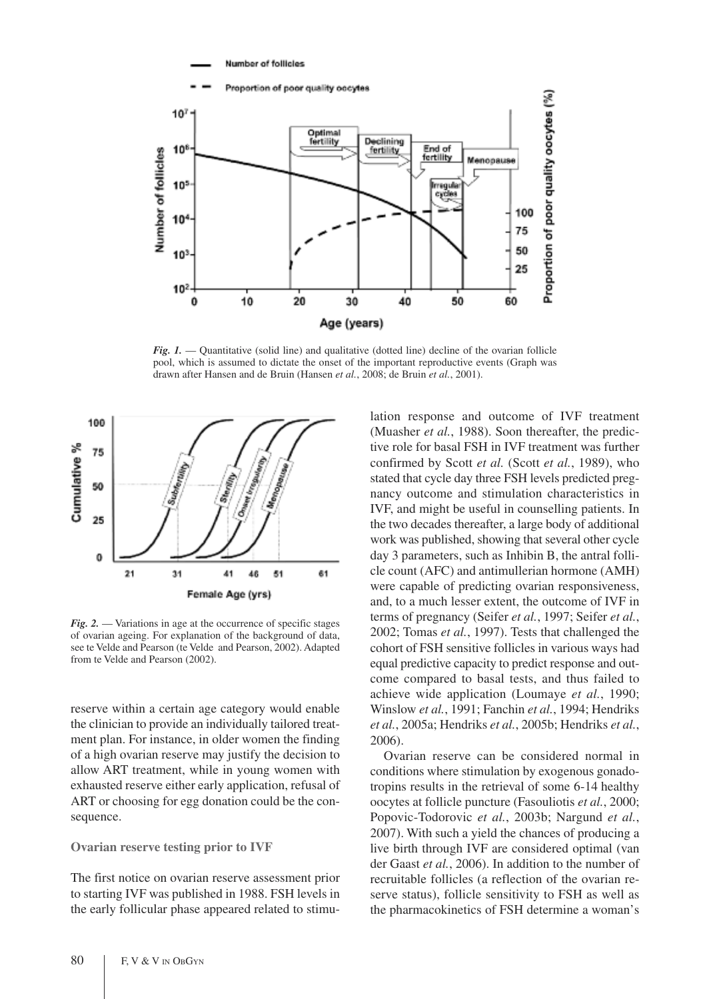Number of follicles



*Fig. 1.* — Quantitative (solid line) and qualitative (dotted line) decline of the ovarian follicle pool, which is assumed to dictate the onset of the important reproductive events (Graph was drawn after Hansen and de Bruin (Hansen *et al.*, 2008; de Bruin *et al.*, 2001).



*Fig. 2.* — Variations in age at the occurrence of specific stages of ovarian ageing. For explanation of the background of data, see te Velde and Pearson (te Velde and Pearson, 2002). Adapted from te Velde and Pearson (2002).

reserve within a certain age category would enable the clinician to provide an individually tailored treatment plan. For instance, in older women the finding of a high ovarian reserve may justify the decision to allow ART treatment, while in young women with exhausted reserve either early application, refusal of ART or choosing for egg donation could be the consequence.

#### **Ovarian reserve testing prior to IVF**

The first notice on ovarian reserve assessment prior to starting IVF was published in 1988. FSH levels in the early follicular phase appeared related to stimulation response and outcome of IVF treatment (Muasher *et al.*, 1988). Soon thereafter, the predictive role for basal FSH in IVF treatment was further confirmed by Scott *et al.* (Scott *et al.*, 1989), who stated that cycle day three FSH levels predicted pregnancy outcome and stimulation characteristics in IVF, and might be useful in counselling patients. In the two decades thereafter, a large body of additional work was published, showing that several other cycle day 3 parameters, such as Inhibin B, the antral follicle count (AFC) and antimullerian hormone (AMH) were capable of predicting ovarian responsiveness, and, to a much lesser extent, the outcome of IVF in terms of pregnancy (Seifer *et al.*, 1997; Seifer *et al.*, 2002; Tomas *et al.*, 1997). Tests that challenged the cohort of FSH sensitive follicles in various ways had equal predictive capacity to predict response and outcome compared to basal tests, and thus failed to achieve wide application (Loumaye *et al.*, 1990; Winslow *et al.*, 1991; Fanchin *et al.*, 1994; Hendriks *et al.*, 2005a; Hendriks *et al.*, 2005b; Hendriks *et al.*, 2006).

Ovarian reserve can be considered normal in conditions where stimulation by exogenous gonadotropins results in the retrieval of some 6-14 healthy oocytes at follicle puncture (Fasouliotis *et al.*, 2000; Popovic-Todorovic *et al.*, 2003b; Nargund *et al.*, 2007). With such a yield the chances of producing a live birth through IVF are considered optimal (van der Gaast *et al.*, 2006). In addition to the number of recruitable follicles (a reflection of the ovarian reserve status), follicle sensitivity to FSH as well as the pharmacokinetics of FSH determine a woman's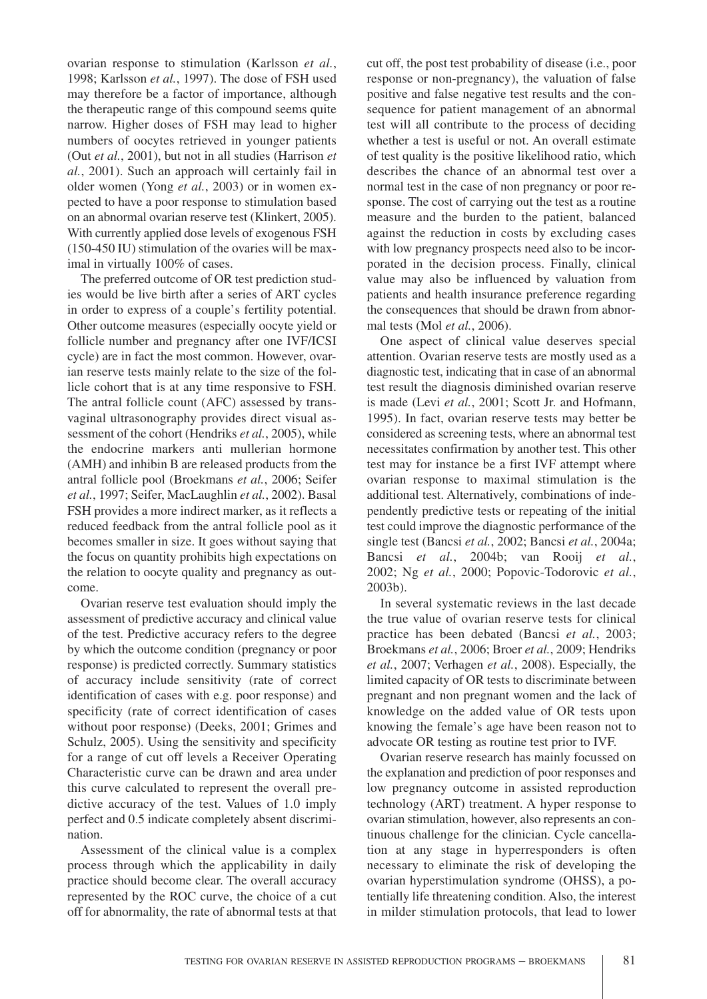ovarian response to stimulation (Karlsson *et al.*, 1998; Karlsson *et al.*, 1997). The dose of FSH used may therefore be a factor of importance, although the therapeutic range of this compound seems quite narrow. Higher doses of FSH may lead to higher numbers of oocytes retrieved in younger patients (Out *et al.*, 2001), but not in all studies (Harrison *et al.*, 2001). Such an approach will certainly fail in older women (Yong *et al.*, 2003) or in women expected to have a poor response to stimulation based on an abnormal ovarian reserve test (Klinkert, 2005). With currently applied dose levels of exogenous FSH (150-450 IU) stimulation of the ovaries will be maximal in virtually 100% of cases.

The preferred outcome of OR test prediction studies would be live birth after a series of ART cycles in order to express of a couple's fertility potential. Other outcome measures (especially oocyte yield or follicle number and pregnancy after one IVF/ICSI cycle) are in fact the most common. However, ovarian reserve tests mainly relate to the size of the follicle cohort that is at any time responsive to FSH. The antral follicle count (AFC) assessed by transvaginal ultrasonography provides direct visual assessment of the cohort (Hendriks *et al.*, 2005), while the endocrine markers anti mullerian hormone (AMH) and inhibin B are released products from the antral follicle pool (Broekmans *et al.*, 2006; Seifer *et al.*, 1997; Seifer, MacLaughlin *et al.*, 2002). Basal FSH provides a more indirect marker, as it reflects a reduced feedback from the antral follicle pool as it becomes smaller in size. It goes without saying that the focus on quantity prohibits high expectations on the relation to oocyte quality and pregnancy as outcome.

Ovarian reserve test evaluation should imply the assessment of predictive accuracy and clinical value of the test. Predictive accuracy refers to the degree by which the outcome condition (pregnancy or poor response) is predicted correctly. Summary statistics of accuracy include sensitivity (rate of correct identification of cases with e.g. poor response) and specificity (rate of correct identification of cases without poor response) (Deeks, 2001; Grimes and Schulz, 2005). Using the sensitivity and specificity for a range of cut off levels a Receiver Operating Characteristic curve can be drawn and area under this curve calculated to represent the overall predictive accuracy of the test. Values of 1.0 imply perfect and 0.5 indicate completely absent discrimination.

Assessment of the clinical value is a complex process through which the applicability in daily practice should become clear. The overall accuracy represented by the ROC curve, the choice of a cut off for abnormality, the rate of abnormal tests at that cut off, the post test probability of disease (i.e., poor response or non-pregnancy), the valuation of false positive and false negative test results and the consequence for patient management of an abnormal test will all contribute to the process of deciding whether a test is useful or not. An overall estimate of test quality is the positive likelihood ratio, which describes the chance of an abnormal test over a normal test in the case of non pregnancy or poor response. The cost of carrying out the test as a routine measure and the burden to the patient, balanced against the reduction in costs by excluding cases with low pregnancy prospects need also to be incorporated in the decision process. Finally, clinical value may also be influenced by valuation from patients and health insurance preference regarding the consequences that should be drawn from abnormal tests (Mol *et al.*, 2006).

One aspect of clinical value deserves special attention. Ovarian reserve tests are mostly used as a diagnostic test, indicating that in case of an abnormal test result the diagnosis diminished ovarian reserve is made (Levi *et al.*, 2001; Scott Jr. and Hofmann, 1995). In fact, ovarian reserve tests may better be considered as screening tests, where an abnormal test necessitates confirmation by another test. This other test may for instance be a first IVF attempt where ovarian response to maximal stimulation is the additional test. Alternatively, combinations of independently predictive tests or repeating of the initial test could improve the diagnostic performance of the single test (Bancsi *et al.*, 2002; Bancsi *et al.*, 2004a; Bancsi *et al.*, 2004b; van Rooij *et al.*, 2002; Ng *et al.*, 2000; Popovic-Todorovic *et al.*, 2003b).

In several systematic reviews in the last decade the true value of ovarian reserve tests for clinical practice has been debated (Bancsi *et al.*, 2003; Broekmans *et al.*, 2006; Broer *et al.*, 2009; Hendriks *et al.*, 2007; Verhagen *et al.*, 2008). Especially, the limited capacity of OR tests to discriminate between pregnant and non pregnant women and the lack of knowledge on the added value of OR tests upon knowing the female's age have been reason not to advocate OR testing as routine test prior to IVF.

Ovarian reserve research has mainly focussed on the explanation and prediction of poor responses and low pregnancy outcome in assisted reproduction technology (ART) treatment. A hyper response to ovarian stimulation, however, also represents an continuous challenge for the clinician. Cycle cancellation at any stage in hyperresponders is often necessary to eliminate the risk of developing the ovarian hyperstimulation syndrome (OHSS), a potentially life threatening condition. Also, the interest in milder stimulation protocols, that lead to lower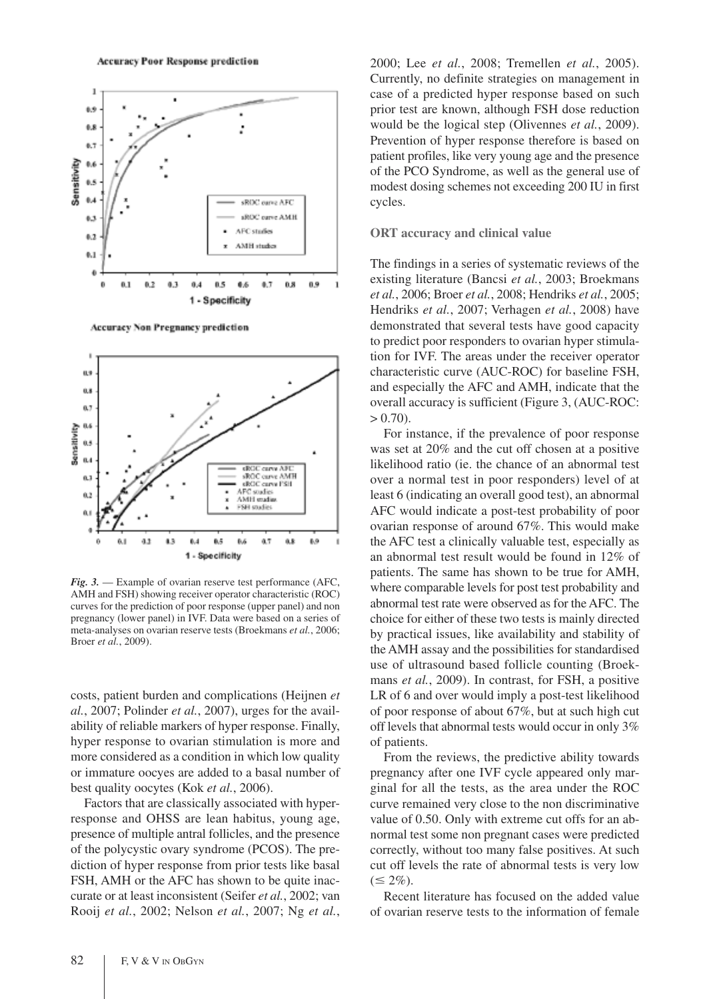

Accuracy Non Pregnancy prediction



*Fig. 3.* — Example of ovarian reserve test performance (AFC, AMH and FSH) showing receiver operator characteristic (ROC) curves for the prediction of poor response (upper panel) and non pregnancy (lower panel) in IVF. Data were based on a series of meta-analyses on ovarian reserve tests (Broekmans *et al.*, 2006; Broer *et al.*, 2009).

costs, patient burden and complications (Heijnen *et al.*, 2007; Polinder *et al.*, 2007), urges for the availability of reliable markers of hyper response. Finally, hyper response to ovarian stimulation is more and more considered as a condition in which low quality or immature oocyes are added to a basal number of best quality oocytes (Kok *et al.*, 2006).

Factors that are classically associated with hyperresponse and OHSS are lean habitus, young age, presence of multiple antral follicles, and the presence of the polycystic ovary syndrome (PCOS). The prediction of hyper response from prior tests like basal FSH, AMH or the AFC has shown to be quite inaccurate or at least inconsistent (Seifer *et al.*, 2002; van Rooij *et al.*, 2002; Nelson *et al.*, 2007; Ng *et al.*,

2000; Lee *et al.*, 2008; Tremellen *et al.*, 2005). Currently, no definite strategies on management in case of a predicted hyper response based on such prior test are known, although FSH dose reduction would be the logical step (Olivennes *et al.*, 2009). Prevention of hyper response therefore is based on patient profiles, like very young age and the presence of the PCO Syndrome, as well as the general use of modest dosing schemes not exceeding 200 IU in first cycles.

#### **ORT accuracy and clinical value**

The findings in a series of systematic reviews of the existing literature (Bancsi *et al.*, 2003; Broekmans *et al.*, 2006; Broer *et al.*, 2008; Hendriks *et al.*, 2005; Hendriks *et al.*, 2007; Verhagen *et al.*, 2008) have demonstrated that several tests have good capacity to predict poor responders to ovarian hyper stimulation for IVF. The areas under the receiver operator characteristic curve (AUC-ROC) for baseline FSH, and especially the AFC and AMH, indicate that the overall accuracy is sufficient (Figure 3, (AUC-ROC:  $> 0.70$ ).

For instance, if the prevalence of poor response was set at 20% and the cut off chosen at a positive likelihood ratio (ie. the chance of an abnormal test over a normal test in poor responders) level of at least 6 (indicating an overall good test), an abnormal AFC would indicate a post-test probability of poor ovarian response of around 67%. This would make the AFC test a clinically valuable test, especially as an abnormal test result would be found in 12% of patients. The same has shown to be true for AMH, where comparable levels for post test probability and abnormal test rate were observed as for the AFC. The choice for either of these two tests is mainly directed by practical issues, like availability and stability of the AMH assay and the possibilities for standardised use of ultrasound based follicle counting (Broekmans *et al.*, 2009). In contrast, for FSH, a positive LR of 6 and over would imply a post-test likelihood of poor response of about 67%, but at such high cut off levels that abnormal tests would occur in only 3% of patients.

From the reviews, the predictive ability towards pregnancy after one IVF cycle appeared only marginal for all the tests, as the area under the ROC curve remained very close to the non discriminative value of 0.50. Only with extreme cut offs for an abnormal test some non pregnant cases were predicted correctly, without too many false positives. At such cut off levels the rate of abnormal tests is very low  $(\leq 2\%)$ .

Recent literature has focused on the added value of ovarian reserve tests to the information of female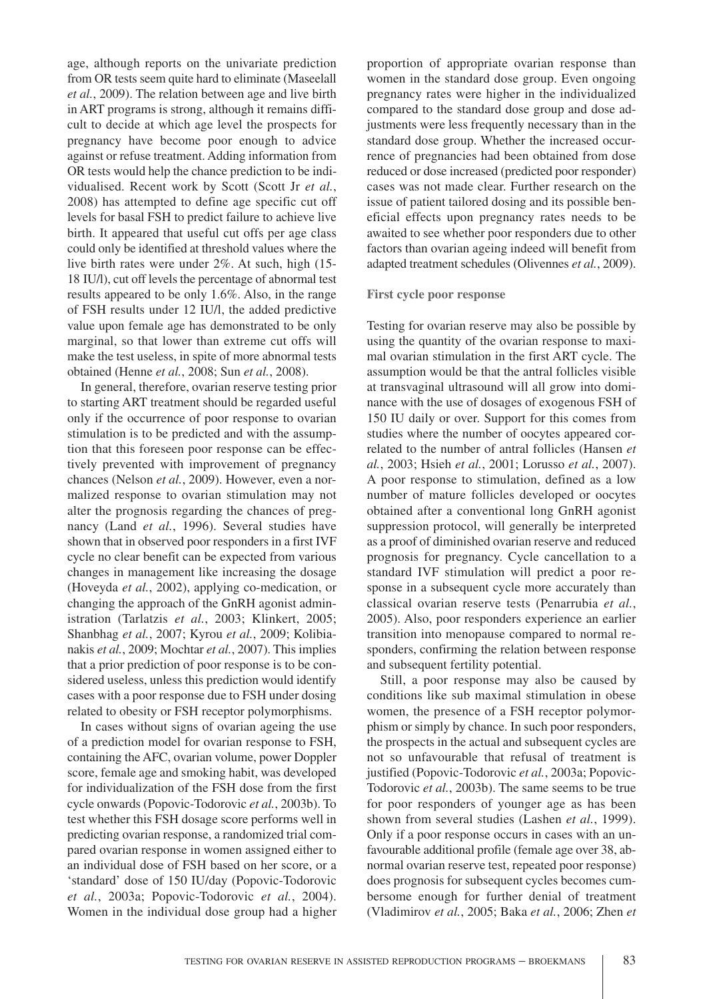age, although reports on the univariate prediction from OR tests seem quite hard to eliminate (Maseelall *et al.*, 2009). The relation between age and live birth in ART programs is strong, although it remains difficult to decide at which age level the prospects for pregnancy have become poor enough to advice against or refuse treatment. Adding information from OR tests would help the chance prediction to be individualised. Recent work by Scott (Scott Jr *et al.*, 2008) has attempted to define age specific cut off levels for basal FSH to predict failure to achieve live birth. It appeared that useful cut offs per age class could only be identified at threshold values where the live birth rates were under 2%. At such, high (15- 18 IU/l), cut off levels the percentage of abnormal test results appeared to be only 1.6%. Also, in the range of FSH results under 12 IU/l, the added predictive value upon female age has demonstrated to be only marginal, so that lower than extreme cut offs will make the test useless, in spite of more abnormal tests obtained (Henne *et al.*, 2008; Sun *et al.*, 2008).

In general, therefore, ovarian reserve testing prior to starting ART treatment should be regarded useful only if the occurrence of poor response to ovarian stimulation is to be predicted and with the assumption that this foreseen poor response can be effectively prevented with improvement of pregnancy chances (Nelson *et al.*, 2009). However, even a normalized response to ovarian stimulation may not alter the prognosis regarding the chances of pregnancy (Land *et al.*, 1996). Several studies have shown that in observed poor responders in a first IVF cycle no clear benefit can be expected from various changes in management like increasing the dosage (Hoveyda *et al.*, 2002), applying co-medication, or changing the approach of the GnRH agonist administration (Tarlatzis *et al.*, 2003; Klinkert, 2005; Shanbhag *et al.*, 2007; Kyrou *et al.*, 2009; Kolibianakis *et al.*, 2009; Mochtar *et al.*, 2007). This implies that a prior prediction of poor response is to be considered useless, unless this prediction would identify cases with a poor response due to FSH under dosing related to obesity or FSH receptor polymorphisms.

In cases without signs of ovarian ageing the use of a prediction model for ovarian response to FSH, containing the AFC, ovarian volume, power Doppler score, female age and smoking habit, was developed for individualization of the FSH dose from the first cycle onwards (Popovic-Todorovic *et al.*, 2003b). To test whether this FSH dosage score performs well in predicting ovarian response, a randomized trial compared ovarian response in women assigned either to an individual dose of FSH based on her score, or a 'standard' dose of 150 IU/day (Popovic-Todorovic *et al.*, 2003a; Popovic-Todorovic *et al.*, 2004). Women in the individual dose group had a higher

proportion of appropriate ovarian response than women in the standard dose group. Even ongoing pregnancy rates were higher in the individualized compared to the standard dose group and dose adjustments were less frequently necessary than in the standard dose group. Whether the increased occurrence of pregnancies had been obtained from dose reduced or dose increased (predicted poor responder) cases was not made clear. Further research on the issue of patient tailored dosing and its possible beneficial effects upon pregnancy rates needs to be awaited to see whether poor responders due to other factors than ovarian ageing indeed will benefit from adapted treatment schedules (Olivennes *et al.*, 2009).

#### **First cycle poor response**

Testing for ovarian reserve may also be possible by using the quantity of the ovarian response to maximal ovarian stimulation in the first ART cycle. The assumption would be that the antral follicles visible at transvaginal ultrasound will all grow into dominance with the use of dosages of exogenous FSH of 150 IU daily or over. Support for this comes from studies where the number of oocytes appeared correlated to the number of antral follicles (Hansen *et al.*, 2003; Hsieh *et al.*, 2001; Lorusso *et al.*, 2007). A poor response to stimulation, defined as a low number of mature follicles developed or oocytes obtained after a conventional long GnRH agonist suppression protocol, will generally be interpreted as a proof of diminished ovarian reserve and reduced prognosis for pregnancy. Cycle cancellation to a standard IVF stimulation will predict a poor response in a subsequent cycle more accurately than classical ovarian reserve tests (Penarrubia *et al.*, 2005). Also, poor responders experience an earlier transition into menopause compared to normal responders, confirming the relation between response and subsequent fertility potential.

Still, a poor response may also be caused by conditions like sub maximal stimulation in obese women, the presence of a FSH receptor polymorphism or simply by chance. In such poor responders, the prospects in the actual and subsequent cycles are not so unfavourable that refusal of treatment is justified (Popovic-Todorovic *et al.*, 2003a; Popovic-Todorovic *et al.*, 2003b). The same seems to be true for poor responders of younger age as has been shown from several studies (Lashen *et al.*, 1999). Only if a poor response occurs in cases with an unfavourable additional profile (female age over 38, abnormal ovarian reserve test, repeated poor response) does prognosis for subsequent cycles becomes cumbersome enough for further denial of treatment (Vladimirov *et al.*, 2005; Baka *et al.*, 2006; Zhen *et*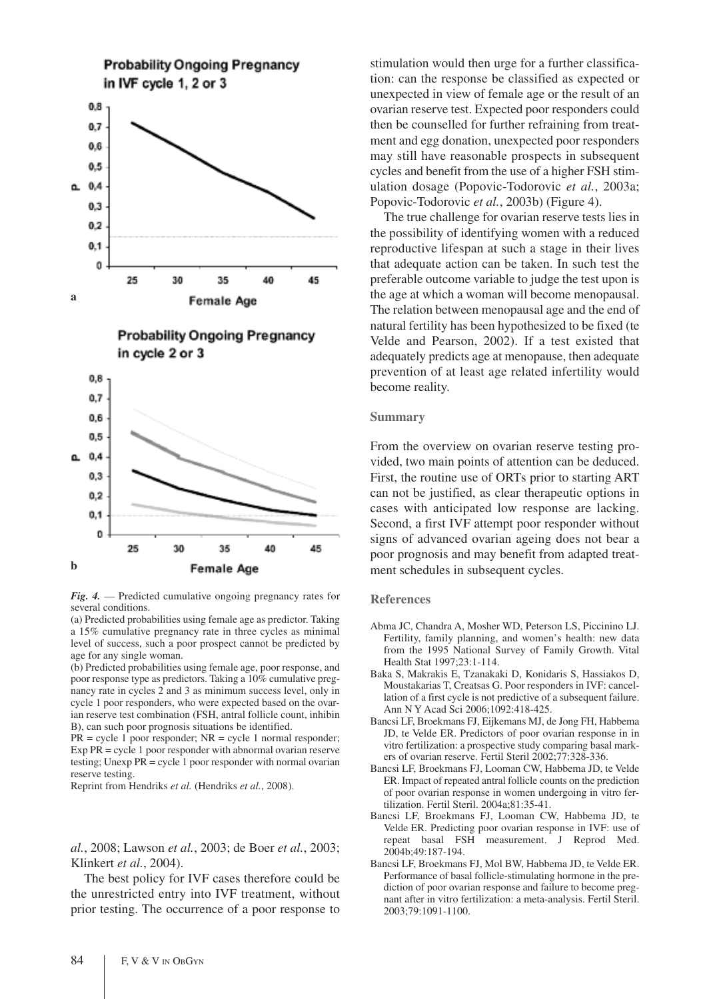



(a) Predicted probabilities using female age as predictor. Taking a 15% cumulative pregnancy rate in three cycles as minimal level of success, such a poor prospect cannot be predicted by age for any single woman.

(b) Predicted probabilities using female age, poor response, and poor response type as predictors. Taking a 10% cumulative pregnancy rate in cycles 2 and 3 as minimum success level, only in cycle 1 poor responders, who were expected based on the ovarian reserve test combination (FSH, antral follicle count, inhibin B), can such poor prognosis situations be identified.

 $PR = cycle 1$  poor responder;  $NR = cycle 1$  normal responder; Exp PR = cycle 1 poor responder with abnormal ovarian reserve testing; Unexp PR = cycle 1 poor responder with normal ovarian reserve testing.

Reprint from Hendriks *et al.* (Hendriks *et al.*, 2008).

*al.*, 2008; Lawson *et al.*, 2003; de Boer *et al.*, 2003; Klinkert *et al.*, 2004).

The best policy for IVF cases therefore could be the unrestricted entry into IVF treatment, without prior testing. The occurrence of a poor response to stimulation would then urge for a further classification: can the response be classified as expected or unexpected in view of female age or the result of an ovarian reserve test. Expected poor responders could then be counselled for further refraining from treatment and egg donation, unexpected poor responders may still have reasonable prospects in subsequent cycles and benefit from the use of a higher FSH stimulation dosage (Popovic-Todorovic *et al.*, 2003a; Popovic-Todorovic *et al.*, 2003b) (Figure 4).

The true challenge for ovarian reserve tests lies in the possibility of identifying women with a reduced reproductive lifespan at such a stage in their lives that adequate action can be taken. In such test the preferable outcome variable to judge the test upon is the age at which a woman will become menopausal. The relation between menopausal age and the end of natural fertility has been hypothesized to be fixed (te Velde and Pearson, 2002). If a test existed that adequately predicts age at menopause, then adequate prevention of at least age related infertility would become reality.

## **Summary**

From the overview on ovarian reserve testing provided, two main points of attention can be deduced. First, the routine use of ORTs prior to starting ART can not be justified, as clear therapeutic options in cases with anticipated low response are lacking. Second, a first IVF attempt poor responder without signs of advanced ovarian ageing does not bear a poor prognosis and may benefit from adapted treatment schedules in subsequent cycles.

#### **References**

- Abma JC, Chandra A, Mosher WD, Peterson LS, Piccinino LJ. Fertility, family planning, and women's health: new data from the 1995 National Survey of Family Growth. Vital Health Stat 1997;23:1-114.
- Baka S, Makrakis E, Tzanakaki D, Konidaris S, Hassiakos D, Moustakarias T, Creatsas G. Poor responders in IVF: cancellation of a first cycle is not predictive of a subsequent failure. Ann N Y Acad Sci 2006;1092:418-425.
- Bancsi LF, Broekmans FJ, Eijkemans MJ, de Jong FH, Habbema JD, te Velde ER. Predictors of poor ovarian response in in vitro fertilization: a prospective study comparing basal markers of ovarian reserve. Fertil Steril 2002;77:328-336.
- Bancsi LF, Broekmans FJ, Looman CW, Habbema JD, te Velde ER. Impact of repeated antral follicle counts on the prediction of poor ovarian response in women undergoing in vitro fertilization. Fertil Steril. 2004a;81:35-41.
- Bancsi LF, Broekmans FJ, Looman CW, Habbema JD, te Velde ER. Predicting poor ovarian response in IVF: use of repeat basal FSH measurement. J Reprod Med. 2004b;49:187-194.
- Bancsi LF, Broekmans FJ, Mol BW, Habbema JD, te Velde ER. Performance of basal follicle-stimulating hormone in the prediction of poor ovarian response and failure to become pregnant after in vitro fertilization: a meta-analysis. Fertil Steril. 2003;79:1091-1100.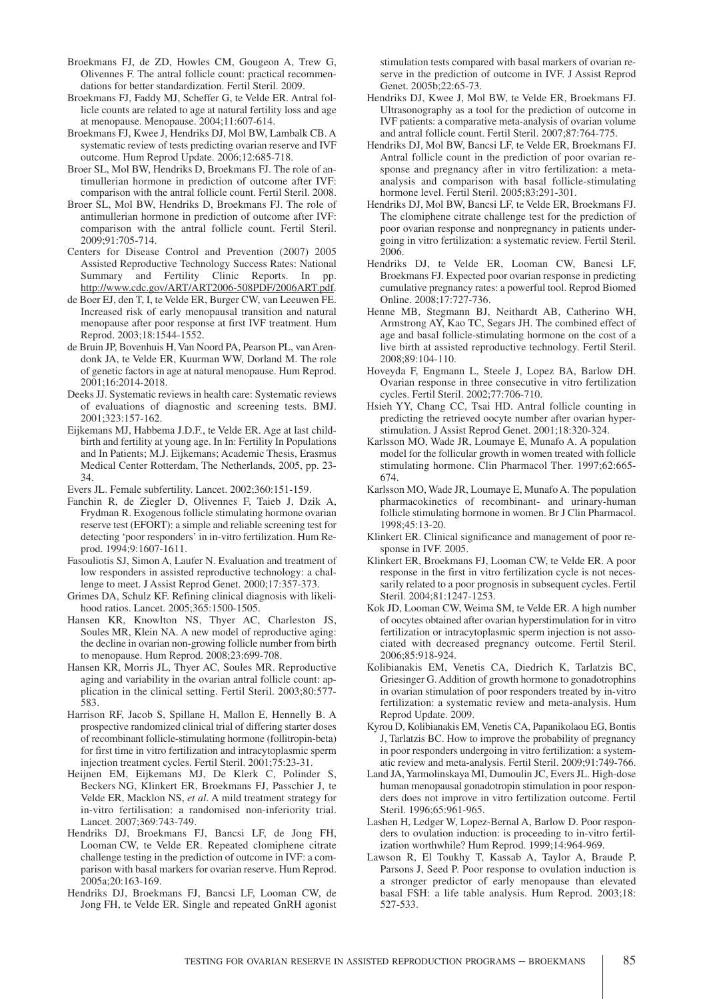- Broekmans FJ, de ZD, Howles CM, Gougeon A, Trew G, Olivennes F. The antral follicle count: practical recommendations for better standardization. Fertil Steril. 2009.
- Broekmans FJ, Faddy MJ, Scheffer G, te Velde ER. Antral follicle counts are related to age at natural fertility loss and age at menopause. Menopause. 2004;11:607-614.
- Broekmans FJ, Kwee J, Hendriks DJ, Mol BW, Lambalk CB. A systematic review of tests predicting ovarian reserve and IVF outcome. Hum Reprod Update. 2006;12:685-718.
- Broer SL, Mol BW, Hendriks D, Broekmans FJ. The role of antimullerian hormone in prediction of outcome after IVF: comparison with the antral follicle count. Fertil Steril. 2008.
- Broer SL, Mol BW, Hendriks D, Broekmans FJ. The role of antimullerian hormone in prediction of outcome after IVF: comparison with the antral follicle count. Fertil Steril. 2009;91:705-714.
- Centers for Disease Control and Prevention (2007) 2005 Assisted Reproductive Technology Success Rates: National Summary and Fertility Clinic Reports. In pp. http://www.cdc.gov/ART/ART2006-508PDF/2006ART.pdf.
- de Boer EJ, den T, I, te Velde ER, Burger CW, van Leeuwen FE. Increased risk of early menopausal transition and natural menopause after poor response at first IVF treatment. Hum Reprod. 2003;18:1544-1552.
- de Bruin JP, Bovenhuis H, Van Noord PA, Pearson PL, van Arendonk JA, te Velde ER, Kuurman WW, Dorland M. The role of genetic factors in age at natural menopause. Hum Reprod. 2001;16:2014-2018.
- Deeks JJ. Systematic reviews in health care: Systematic reviews of evaluations of diagnostic and screening tests. BMJ. 2001;323:157-162.
- Eijkemans MJ, Habbema J.D.F., te Velde ER. Age at last childbirth and fertility at young age. In In: Fertility In Populations and In Patients; M.J. Eijkemans; Academic Thesis, Erasmus Medical Center Rotterdam, The Netherlands, 2005, pp. 23- 34.
- Evers JL. Female subfertility. Lancet. 2002;360:151-159.
- Fanchin R, de Ziegler D, Olivennes F, Taieb J, Dzik A, Frydman R. Exogenous follicle stimulating hormone ovarian reserve test (EFORT): a simple and reliable screening test for detecting 'poor responders' in in-vitro fertilization. Hum Reprod. 1994;9:1607-1611.
- Fasouliotis SJ, Simon A, Laufer N. Evaluation and treatment of low responders in assisted reproductive technology: a challenge to meet. J Assist Reprod Genet. 2000;17:357-373.
- Grimes DA, Schulz KF. Refining clinical diagnosis with likelihood ratios. Lancet. 2005;365:1500-1505.
- Hansen KR, Knowlton NS, Thyer AC, Charleston JS, Soules MR, Klein NA. A new model of reproductive aging: the decline in ovarian non-growing follicle number from birth to menopause. Hum Reprod. 2008;23:699-708.
- Hansen KR, Morris JL, Thyer AC, Soules MR. Reproductive aging and variability in the ovarian antral follicle count: application in the clinical setting. Fertil Steril. 2003;80:577- 583.
- Harrison RF, Jacob S, Spillane H, Mallon E, Hennelly B. A prospective randomized clinical trial of differing starter doses of recombinant follicle-stimulating hormone (follitropin-beta) for first time in vitro fertilization and intracytoplasmic sperm injection treatment cycles. Fertil Steril. 2001;75:23-31.
- Heijnen EM, Eijkemans MJ, De Klerk C, Polinder S, Beckers NG, Klinkert ER, Broekmans FJ, Passchier J, te Velde ER, Macklon NS, *et al*. A mild treatment strategy for in-vitro fertilisation: a randomised non-inferiority trial. Lancet. 2007;369:743-749.
- Hendriks DJ, Broekmans FJ, Bancsi LF, de Jong FH, Looman CW, te Velde ER. Repeated clomiphene citrate challenge testing in the prediction of outcome in IVF: a comparison with basal markers for ovarian reserve. Hum Reprod. 2005a;20:163-169.
- Hendriks DJ, Broekmans FJ, Bancsi LF, Looman CW, de Jong FH, te Velde ER. Single and repeated GnRH agonist

stimulation tests compared with basal markers of ovarian reserve in the prediction of outcome in IVF. J Assist Reprod Genet. 2005b;22:65-73.

- Hendriks DJ, Kwee J, Mol BW, te Velde ER, Broekmans FJ. Ultrasonography as a tool for the prediction of outcome in IVF patients: a comparative meta-analysis of ovarian volume and antral follicle count. Fertil Steril. 2007;87:764-775.
- Hendriks DJ, Mol BW, Bancsi LF, te Velde ER, Broekmans FJ. Antral follicle count in the prediction of poor ovarian response and pregnancy after in vitro fertilization: a metaanalysis and comparison with basal follicle-stimulating hormone level. Fertil Steril. 2005;83:291-301.
- Hendriks DJ, Mol BW, Bancsi LF, te Velde ER, Broekmans FJ. The clomiphene citrate challenge test for the prediction of poor ovarian response and nonpregnancy in patients undergoing in vitro fertilization: a systematic review. Fertil Steril. 2006.
- Hendriks DJ, te Velde ER, Looman CW, Bancsi LF, Broekmans FJ. Expected poor ovarian response in predicting cumulative pregnancy rates: a powerful tool. Reprod Biomed Online. 2008;17:727-736.
- Henne MB, Stegmann BJ, Neithardt AB, Catherino WH, Armstrong AY, Kao TC, Segars JH. The combined effect of age and basal follicle-stimulating hormone on the cost of a live birth at assisted reproductive technology. Fertil Steril. 2008;89:104-110.
- Hoveyda F, Engmann L, Steele J, Lopez BA, Barlow DH. Ovarian response in three consecutive in vitro fertilization cycles. Fertil Steril. 2002;77:706-710.
- Hsieh YY, Chang CC, Tsai HD. Antral follicle counting in predicting the retrieved oocyte number after ovarian hyperstimulation. J Assist Reprod Genet. 2001;18:320-324.
- Karlsson MO, Wade JR, Loumaye E, Munafo A. A population model for the follicular growth in women treated with follicle stimulating hormone. Clin Pharmacol Ther. 1997;62:665- 674.
- Karlsson MO, Wade JR, Loumaye E, Munafo A. The population pharmacokinetics of recombinant- and urinary-human follicle stimulating hormone in women. Br J Clin Pharmacol. 1998;45:13-20.
- Klinkert ER. Clinical significance and management of poor response in IVF. 2005.
- Klinkert ER, Broekmans FJ, Looman CW, te Velde ER. A poor response in the first in vitro fertilization cycle is not necessarily related to a poor prognosis in subsequent cycles. Fertil Steril. 2004;81:1247-1253.
- Kok JD, Looman CW, Weima SM, te Velde ER. A high number of oocytes obtained after ovarian hyperstimulation for in vitro fertilization or intracytoplasmic sperm injection is not associated with decreased pregnancy outcome. Fertil Steril. 2006;85:918-924.
- Kolibianakis EM, Venetis CA, Diedrich K, Tarlatzis BC, Griesinger G. Addition of growth hormone to gonadotrophins in ovarian stimulation of poor responders treated by in-vitro fertilization: a systematic review and meta-analysis. Hum Reprod Update. 2009.
- Kyrou D, Kolibianakis EM, Venetis CA, Papanikolaou EG, Bontis J, Tarlatzis BC. How to improve the probability of pregnancy in poor responders undergoing in vitro fertilization: a systematic review and meta-analysis. Fertil Steril. 2009;91:749-766.
- Land JA,Yarmolinskaya MI, Dumoulin JC, Evers JL. High-dose human menopausal gonadotropin stimulation in poor responders does not improve in vitro fertilization outcome. Fertil Steril. 1996;65:961-965.
- Lashen H, Ledger W, Lopez-Bernal A, Barlow D. Poor responders to ovulation induction: is proceeding to in-vitro fertilization worthwhile? Hum Reprod. 1999;14:964-969.
- Lawson R, El Toukhy T, Kassab A, Taylor A, Braude P, Parsons J, Seed P. Poor response to ovulation induction is a stronger predictor of early menopause than elevated basal FSH: a life table analysis. Hum Reprod. 2003;18: 527-533.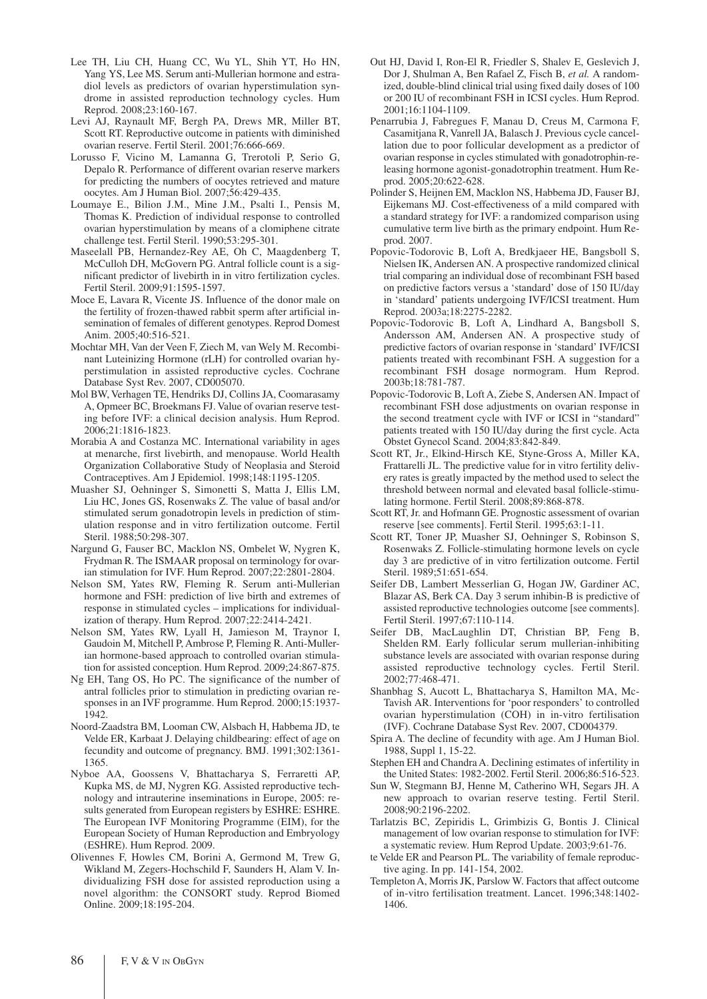- Lee TH, Liu CH, Huang CC, Wu YL, Shih YT, Ho HN, Yang YS, Lee MS. Serum anti-Mullerian hormone and estradiol levels as predictors of ovarian hyperstimulation syndrome in assisted reproduction technology cycles. Hum Reprod. 2008;23:160-167.
- Levi AJ, Raynault MF, Bergh PA, Drews MR, Miller BT, Scott RT. Reproductive outcome in patients with diminished ovarian reserve. Fertil Steril. 2001;76:666-669.
- Lorusso F, Vicino M, Lamanna G, Trerotoli P, Serio G, Depalo R. Performance of different ovarian reserve markers for predicting the numbers of oocytes retrieved and mature oocytes. Am J Human Biol. 2007;56:429-435.
- Loumaye E., Bilion J.M., Mine J.M., Psalti I., Pensis M, Thomas K. Prediction of individual response to controlled ovarian hyperstimulation by means of a clomiphene citrate challenge test. Fertil Steril. 1990;53:295-301.
- Maseelall PB, Hernandez-Rey AE, Oh C, Maagdenberg T, McCulloh DH, McGovern PG. Antral follicle count is a significant predictor of livebirth in in vitro fertilization cycles. Fertil Steril. 2009;91:1595-1597.
- Moce E, Lavara R, Vicente JS. Influence of the donor male on the fertility of frozen-thawed rabbit sperm after artificial insemination of females of different genotypes. Reprod Domest Anim. 2005;40:516-521.
- Mochtar MH, Van der Veen F, Ziech M, van Wely M. Recombinant Luteinizing Hormone (rLH) for controlled ovarian hyperstimulation in assisted reproductive cycles. Cochrane Database Syst Rev. 2007, CD005070.
- Mol BW, Verhagen TE, Hendriks DJ, Collins JA, Coomarasamy A, Opmeer BC, Broekmans FJ. Value of ovarian reserve testing before IVF: a clinical decision analysis. Hum Reprod. 2006;21:1816-1823.
- Morabia A and Costanza MC. International variability in ages at menarche, first livebirth, and menopause. World Health Organization Collaborative Study of Neoplasia and Steroid Contraceptives. Am J Epidemiol. 1998;148:1195-1205.
- Muasher SJ, Oehninger S, Simonetti S, Matta J, Ellis LM, Liu HC, Jones GS, Rosenwaks Z. The value of basal and/or stimulated serum gonadotropin levels in prediction of stimulation response and in vitro fertilization outcome. Fertil Steril. 1988;50:298-307.
- Nargund G, Fauser BC, Macklon NS, Ombelet W, Nygren K, Frydman R. The ISMAAR proposal on terminology for ovarian stimulation for IVF. Hum Reprod. 2007;22:2801-2804.
- Nelson SM, Yates RW, Fleming R. Serum anti-Mullerian hormone and FSH: prediction of live birth and extremes of response in stimulated cycles – implications for individualization of therapy. Hum Reprod. 2007;22:2414-2421.
- Nelson SM, Yates RW, Lyall H, Jamieson M, Traynor I, Gaudoin M, Mitchell P, Ambrose P, Fleming R. Anti-Mullerian hormone-based approach to controlled ovarian stimulation for assisted conception. Hum Reprod. 2009;24:867-875.
- Ng EH, Tang OS, Ho PC. The significance of the number of antral follicles prior to stimulation in predicting ovarian responses in an IVF programme. Hum Reprod. 2000;15:1937- 1942.
- Noord-Zaadstra BM, Looman CW, Alsbach H, Habbema JD, te Velde ER, Karbaat J. Delaying childbearing: effect of age on fecundity and outcome of pregnancy. BMJ. 1991;302:1361- 1365.
- Nyboe AA, Goossens V, Bhattacharya S, Ferraretti AP, Kupka MS, de MJ, Nygren KG. Assisted reproductive technology and intrauterine inseminations in Europe, 2005: results generated from European registers by ESHRE: ESHRE. The European IVF Monitoring Programme (EIM), for the European Society of Human Reproduction and Embryology (ESHRE). Hum Reprod. 2009.
- Olivennes F, Howles CM, Borini A, Germond M, Trew G, Wikland M, Zegers-Hochschild F, Saunders H, Alam V. Individualizing FSH dose for assisted reproduction using a novel algorithm: the CONSORT study. Reprod Biomed Online. 2009;18:195-204.
- Out HJ, David I, Ron-El R, Friedler S, Shalev E, Geslevich J, Dor J, Shulman A, Ben Rafael Z, Fisch B, *et al.* A randomized, double-blind clinical trial using fixed daily doses of 100 or 200 IU of recombinant FSH in ICSI cycles. Hum Reprod. 2001;16:1104-1109.
- Penarrubia J, Fabregues F, Manau D, Creus M, Carmona F, Casamitjana R, Vanrell JA, Balasch J. Previous cycle cancellation due to poor follicular development as a predictor of ovarian response in cycles stimulated with gonadotrophin-releasing hormone agonist-gonadotrophin treatment. Hum Reprod. 2005;20:622-628.
- Polinder S, Heijnen EM, Macklon NS, Habbema JD, Fauser BJ, Eijkemans MJ. Cost-effectiveness of a mild compared with a standard strategy for IVF: a randomized comparison using cumulative term live birth as the primary endpoint. Hum Reprod. 2007.
- Popovic-Todorovic B, Loft A, Bredkjaeer HE, Bangsboll S, Nielsen IK, Andersen AN. A prospective randomized clinical trial comparing an individual dose of recombinant FSH based on predictive factors versus a 'standard' dose of 150 IU/day in 'standard' patients undergoing IVF/ICSI treatment. Hum Reprod. 2003a;18:2275-2282.
- Popovic-Todorovic B, Loft A, Lindhard A, Bangsboll S, Andersson AM, Andersen AN. A prospective study of predictive factors of ovarian response in 'standard' IVF/ICSI patients treated with recombinant FSH. A suggestion for a recombinant FSH dosage normogram. Hum Reprod. 2003b;18:781-787.
- Popovic-Todorovic B, Loft A, Ziebe S, Andersen AN. Impact of recombinant FSH dose adjustments on ovarian response in the second treatment cycle with IVF or ICSI in "standard" patients treated with 150 IU/day during the first cycle. Acta Obstet Gynecol Scand. 2004;83:842-849.
- Scott RT, Jr., Elkind-Hirsch KE, Styne-Gross A, Miller KA, Frattarelli JL. The predictive value for in vitro fertility delivery rates is greatly impacted by the method used to select the threshold between normal and elevated basal follicle-stimulating hormone. Fertil Steril. 2008;89:868-878.
- Scott RT, Jr. and Hofmann GE. Prognostic assessment of ovarian reserve [see comments]. Fertil Steril. 1995;63:1-11.
- Scott RT, Toner JP, Muasher SJ, Oehninger S, Robinson S, Rosenwaks Z. Follicle-stimulating hormone levels on cycle day 3 are predictive of in vitro fertilization outcome. Fertil Steril. 1989;51:651-654.
- Seifer DB, Lambert Messerlian G, Hogan JW, Gardiner AC, Blazar AS, Berk CA. Day 3 serum inhibin-B is predictive of assisted reproductive technologies outcome [see comments]. Fertil Steril. 1997;67:110-114.
- Seifer DB, MacLaughlin DT, Christian BP, Feng B, Shelden RM. Early follicular serum mullerian-inhibiting substance levels are associated with ovarian response during assisted reproductive technology cycles. Fertil Steril. 2002;77:468-471.
- Shanbhag S, Aucott L, Bhattacharya S, Hamilton MA, Mc-Tavish AR. Interventions for 'poor responders' to controlled ovarian hyperstimulation (COH) in in-vitro fertilisation (IVF). Cochrane Database Syst Rev. 2007, CD004379.
- Spira A. The decline of fecundity with age. Am J Human Biol. 1988, Suppl 1, 15-22.
- Stephen EH and Chandra A. Declining estimates of infertility in the United States: 1982-2002. Fertil Steril. 2006;86:516-523.
- Sun W, Stegmann BJ, Henne M, Catherino WH, Segars JH. A new approach to ovarian reserve testing. Fertil Steril. 2008;90:2196-2202.
- Tarlatzis BC, Zepiridis L, Grimbizis G, Bontis J. Clinical management of low ovarian response to stimulation for IVF: a systematic review. Hum Reprod Update. 2003;9:61-76.
- te Velde ER and Pearson PL. The variability of female reproductive aging. In pp. 141-154, 2002.
- Templeton A, Morris JK, Parslow W. Factors that affect outcome of in-vitro fertilisation treatment. Lancet. 1996;348:1402- 1406.